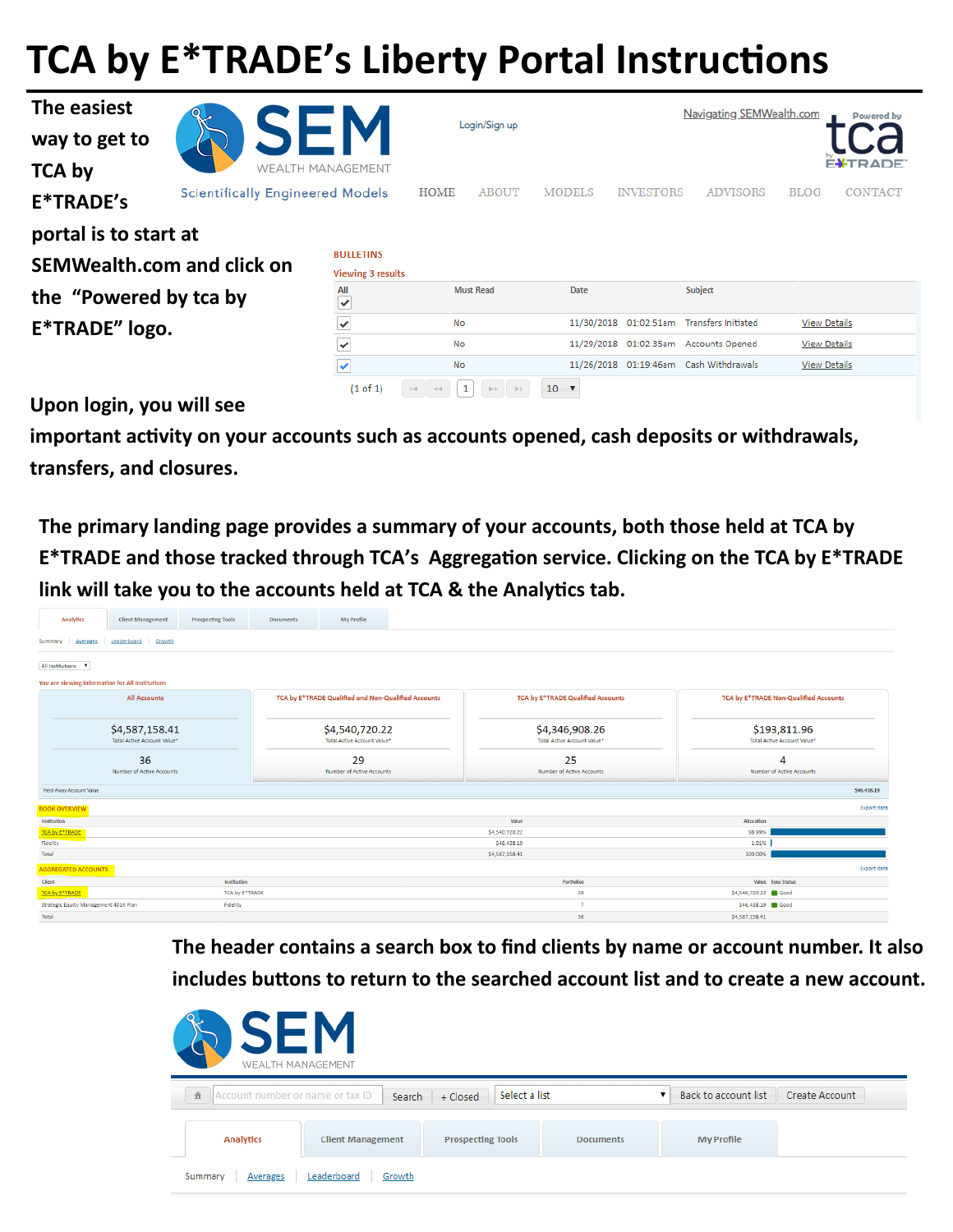## **TCA by E\*TRADE's Liberty Portal Instructions**

| The easiest                       |                                         |                               |             | Login/Sign up    |               |             |                  | Navigating SEMWealth.com               |                     | Powered by           |
|-----------------------------------|-----------------------------------------|-------------------------------|-------------|------------------|---------------|-------------|------------------|----------------------------------------|---------------------|----------------------|
| way to get to                     |                                         |                               |             |                  |               |             |                  |                                        |                     |                      |
| <b>TCA by</b>                     |                                         | <b>WEALTH MANAGEMENT</b>      |             |                  |               |             |                  |                                        |                     | E¥TRADE <sup>®</sup> |
| E*TRADE's                         | <b>Scientifically Engineered Models</b> |                               | <b>HOME</b> | ABOUT            | <b>MODELS</b> |             | <b>INVESTORS</b> | ADVISORS                               | <b>BLOG</b>         | CONTACT              |
| portal is to start at             |                                         |                               |             |                  |               |             |                  |                                        |                     |                      |
| <b>SEMWealth.com and click on</b> |                                         | <b>BULLETINS</b>              |             |                  |               |             |                  |                                        |                     |                      |
|                                   |                                         | Viewing 3 results             |             | <b>Must Read</b> |               | <b>Date</b> |                  | Subject                                |                     |                      |
| the "Powered by tca by            |                                         | $\frac{\text{All}}{\text{V}}$ |             |                  |               |             |                  |                                        |                     |                      |
| E*TRADE" logo.                    |                                         | $\checkmark$                  | No          |                  |               | 11/30/2018  |                  | 01:02:51am Transfers Initiated         | <b>View Details</b> |                      |
|                                   |                                         | $\checkmark$                  | No          |                  |               |             |                  | 11/29/2018 01:02:35am Accounts Opened  | <b>View Details</b> |                      |
|                                   |                                         | $\blacktriangledown$          | No          |                  |               |             |                  | 11/26/2018 01:19:46am Cash Withdrawals | <b>View Details</b> |                      |
|                                   |                                         | (1 of 1)                      |             |                  | $10 \times$   |             |                  |                                        |                     |                      |
| Upon login, you will see          |                                         |                               |             |                  |               |             |                  |                                        |                     |                      |

**important activity on your accounts such as accounts opened, cash deposits or withdrawals, transfers, and closures.**

**The primary landing page provides a summary of your accounts, both those held at TCA by E\*TRADE and those tracked through TCA's Aggregation service. Clicking on the TCA by E\*TRADE link will take you to the accounts held at TCA & the Analytics tab.**

| <b>Analytics</b>                      | <b>Client Management</b>                         | <b>Prospecting Tools</b> | <b>Documents</b> | <b>My Profile</b>                                   |                |                                                    |                                       |  |
|---------------------------------------|--------------------------------------------------|--------------------------|------------------|-----------------------------------------------------|----------------|----------------------------------------------------|---------------------------------------|--|
| Averages<br>Summary                   | Leaderboard<br>Growth                            |                          |                  |                                                     |                |                                                    |                                       |  |
| All Institutions V                    |                                                  |                          |                  |                                                     |                |                                                    |                                       |  |
|                                       | You are viewing information for All Institutions |                          |                  |                                                     |                |                                                    |                                       |  |
|                                       | <b>All Accounts</b>                              |                          |                  | TCA by E*TRADE Qualified and Non-Qualified Accounts |                | TCA by E*TRADE Qualified Accounts                  | TCA by E*TRADE Non-Qualified Accounts |  |
| \$4,587,158.41                        |                                                  |                          | \$4,540,720.22   |                                                     | \$4,346,908.26 | \$193,811.96<br><b>Total Active Account Value*</b> |                                       |  |
|                                       | Total Active Account Value*                      |                          |                  | <b>Total Active Account Value*</b>                  |                | Total Active Account Value*                        | 4<br>Number of Active Accounts        |  |
|                                       | 36<br>Number of Active Accounts                  |                          |                  | 29<br>Number of Active Accounts                     |                | 25<br>Number of Active Accounts                    |                                       |  |
| Held-Away Account Value               |                                                  |                          |                  |                                                     |                |                                                    |                                       |  |
| <b>BOOK OVERVIEW</b>                  |                                                  |                          |                  |                                                     |                |                                                    |                                       |  |
| Institution                           |                                                  |                          |                  |                                                     |                | Value                                              | Allocation                            |  |
| <b>TCA by E*TRADE</b>                 |                                                  |                          |                  |                                                     |                | \$4,540,720.22                                     | 98.99%                                |  |
|                                       |                                                  |                          |                  |                                                     |                | \$46,438.19                                        | 1.01%                                 |  |
|                                       |                                                  |                          |                  |                                                     |                | \$4,587,158.41                                     | 100.00%                               |  |
| <b>AGGREGATED ACCOUNTS</b>            |                                                  |                          |                  |                                                     |                |                                                    |                                       |  |
|                                       |                                                  | Institution              |                  |                                                     |                | Portfolios                                         | Value Sync Status                     |  |
| TCA by E*TRADE                        |                                                  | TCA by E*TRADE           |                  |                                                     |                | 29                                                 | \$4,540,720.22 Good                   |  |
| Strategic Equity Management 401K Plan |                                                  | Fidelity                 |                  |                                                     |                | 7                                                  | \$46,438.19 Good                      |  |
| Total                                 |                                                  |                          |                  |                                                     |                | 36                                                 | S4 587 158 41                         |  |

**The header contains a search box to find clients by name or account number. It also includes buttons to return to the searched account list and to create a new account.**

| <b>SEM</b>                            | WEALTH MANAGEMENT        |                           |                  |                                            |                |
|---------------------------------------|--------------------------|---------------------------|------------------|--------------------------------------------|----------------|
| Account number or name or tax ID<br>合 | Search                   | Select a list<br>+ Closed |                  | Back to account list<br>$\pmb{\mathrm{v}}$ | Create Account |
| <b>Analytics</b>                      | <b>Client Management</b> | <b>Prospecting Tools</b>  | <b>Documents</b> | <b>My Profile</b>                          |                |
| Summary<br>Averages                   | Leaderboard<br>Growth    |                           |                  |                                            |                |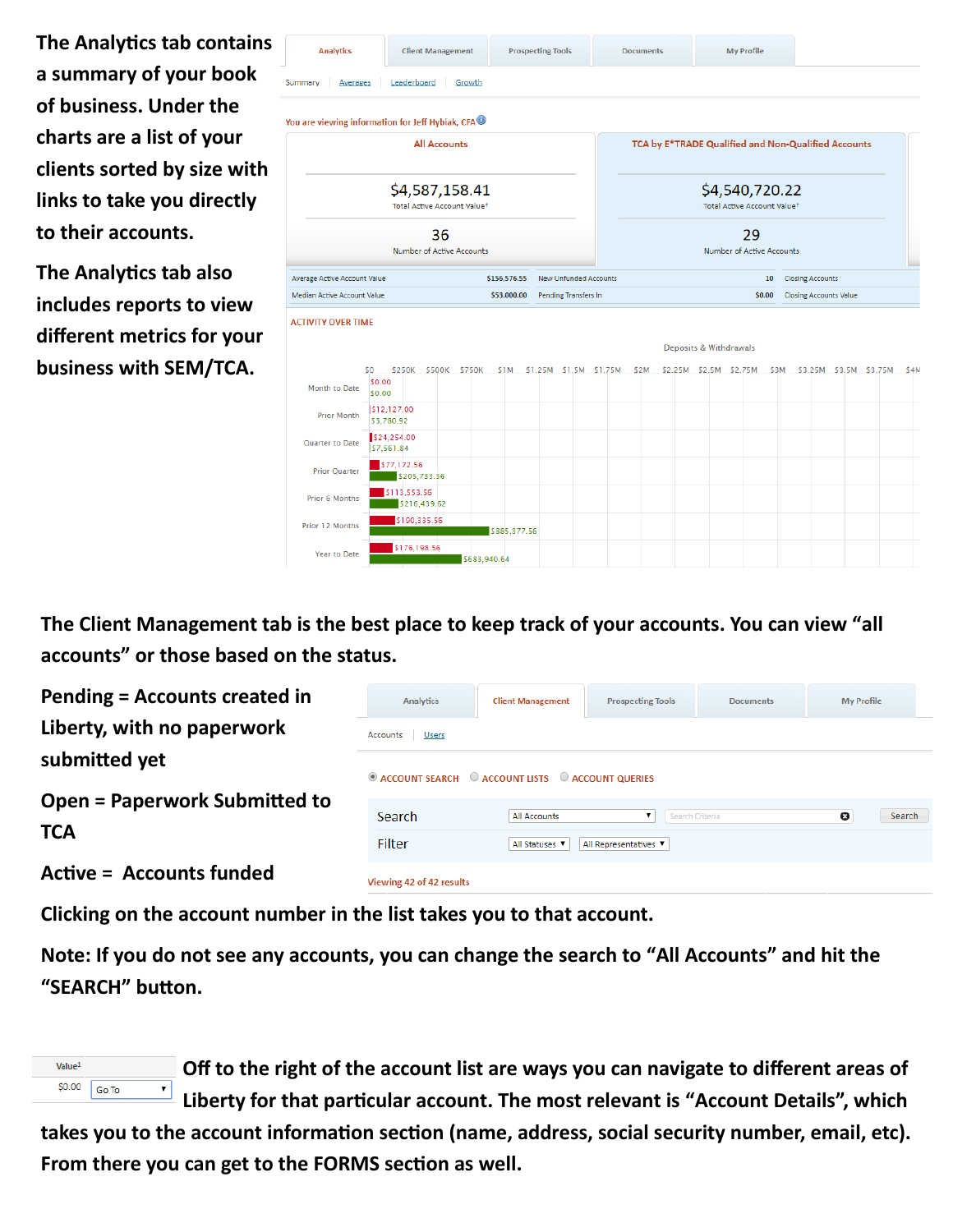**The Analytics tab contains a summary of your book of business. Under the charts are a list of your clients sorted by size with links to take you directly to their accounts.** 

**The Analytics tab also includes reports to view different metrics for your business with SEM/TCA.**

| <b>Analytics</b>                                   |                                     | <b>Client Management</b>                             |        |              | <b>Prospecting Tools</b>     |  | <b>Documents</b>                              |                                   |  | <b>My Profile</b>                                                                                             |    |                         |  |  |
|----------------------------------------------------|-------------------------------------|------------------------------------------------------|--------|--------------|------------------------------|--|-----------------------------------------------|-----------------------------------|--|---------------------------------------------------------------------------------------------------------------|----|-------------------------|--|--|
| Summary<br><b>Averages</b>                         |                                     | Leaderboard                                          | Growth |              |                              |  |                                               |                                   |  |                                                                                                               |    |                         |  |  |
| You are viewing information for Jeff Hybiak, CFA @ |                                     |                                                      |        |              |                              |  |                                               |                                   |  |                                                                                                               |    |                         |  |  |
|                                                    |                                     | <b>All Accounts</b>                                  |        |              |                              |  |                                               |                                   |  | TCA by E*TRADE Qualified and Non-Qualified Accounts                                                           |    |                         |  |  |
|                                                    |                                     | \$4,587,158.41<br><b>Total Active Account Value*</b> |        |              |                              |  |                                               |                                   |  | \$4,540,720.22<br><b>Total Active Account Value<sup>+</sup></b>                                               |    |                         |  |  |
|                                                    |                                     | 36<br>Number of Active Accounts                      |        |              |                              |  |                                               |                                   |  | 29<br>Number of Active Accounts                                                                               |    |                         |  |  |
| Average Active Account Value                       |                                     |                                                      |        | \$156,576.55 | <b>New Unfunded Accounts</b> |  |                                               |                                   |  |                                                                                                               | 10 | <b>Closing Accounts</b> |  |  |
| Median Active Account Value                        |                                     |                                                      |        | \$53,000.00  | Pending Transfers In         |  | <b>Closing Accounts Value</b><br><b>SO.00</b> |                                   |  |                                                                                                               |    |                         |  |  |
| <b>ACTIVITY OVER TIME</b><br>Month to Date         | \$0<br>\$0.00                       |                                                      |        |              |                              |  |                                               | <b>Deposits &amp; Withdrawals</b> |  | \$250K \$500K \$750K \$1M \$1.25M \$1.5M \$1.75M \$2M \$2.25M \$2.5M \$2.75M \$3M \$3.25M \$3.5M \$3.75M \$4M |    |                         |  |  |
| <b>Prior Month</b>                                 | \$0.00<br>\$12,127.00<br>\$3,780.92 |                                                      |        |              |                              |  |                                               |                                   |  |                                                                                                               |    |                         |  |  |
| <b>Ouarter to Date</b>                             | \$24,254.00<br>\$7,561.84           |                                                      |        |              |                              |  |                                               |                                   |  |                                                                                                               |    |                         |  |  |
| <b>Prior Quarter</b>                               | \$77,172.56                         | \$205,733.36                                         |        |              |                              |  |                                               |                                   |  |                                                                                                               |    |                         |  |  |
| Prior 6 Months                                     | \$113,553.56                        | \$216,439.62                                         |        |              |                              |  |                                               |                                   |  |                                                                                                               |    |                         |  |  |
| Prior 12 Months                                    |                                     | \$190,335.56                                         |        | \$885,377.56 |                              |  |                                               |                                   |  |                                                                                                               |    |                         |  |  |
|                                                    |                                     |                                                      |        |              |                              |  |                                               |                                   |  |                                                                                                               |    |                         |  |  |

**The Client Management tab is the best place to keep track of your accounts. You can view "all accounts" or those based on the status.** 

| <b>Pending = Accounts created in</b> | <b>Analytics</b>         | <b>Client Management</b>                                             | <b>Prospecting Tools</b>        | <b>Documents</b> | <b>My Profile</b> |        |
|--------------------------------------|--------------------------|----------------------------------------------------------------------|---------------------------------|------------------|-------------------|--------|
| Liberty, with no paperwork           | Accounts Users           |                                                                      |                                 |                  |                   |        |
| submitted yet                        |                          | $\odot$ ACCOUNT SEARCH $\odot$ ACCOUNT LISTS $\odot$ ACCOUNT QUERIES |                                 |                  |                   |        |
| <b>Open = Paperwork Submitted to</b> | Search                   | All Accounts                                                         | $\mathbf{v}$<br>Search Criteria |                  | $\bullet$         | Search |
| <b>TCA</b>                           | Filter                   | All Statuses                                                         | All Representatives ▼           |                  |                   |        |
| <b>Active = Accounts funded</b>      | Viewing 42 of 42 results |                                                                      |                                 |                  |                   |        |

**Clicking on the account number in the list takes you to that account.**

**Note: If you do not see any accounts, you can change the search to "All Accounts" and hit the "SEARCH" button.**

**Off to the right of the account list are ways you can navigate to different areas of**  Value<sup>1</sup>  $$0.00$  Go To ⊻ **Liberty for that particular account. The most relevant is "Account Details", which takes you to the account information section (name, address, social security number, email, etc). From there you can get to the FORMS section as well.**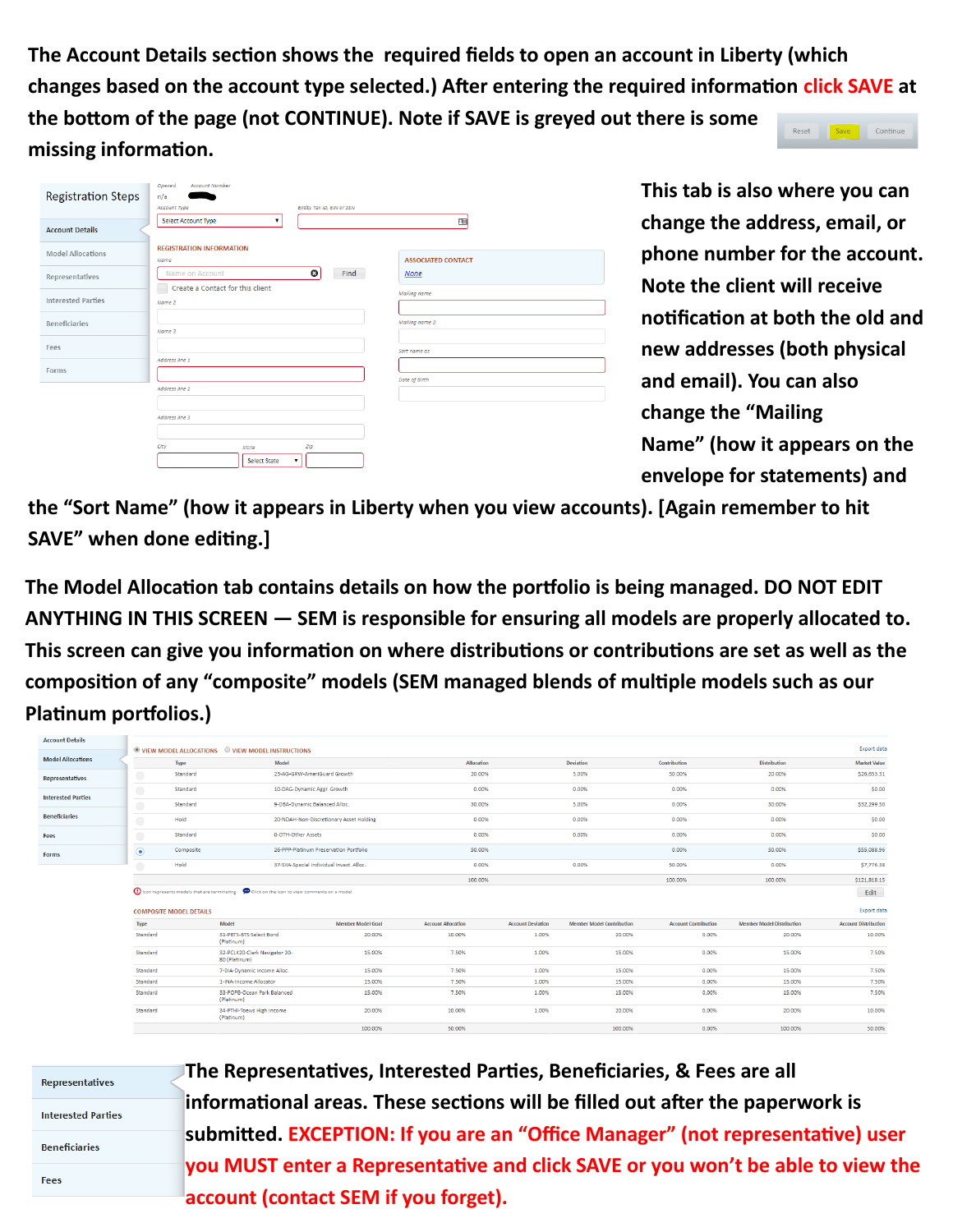**The Account Details section shows the required fields to open an account in Liberty (which changes based on the account type selected.) After entering the required information click SAVE at the bottom of the page (not CONTINUE). Note if SAVE is greyed out there is some**  Reset Save Continue **missing information.**

|                           | <b>Account Number</b><br>Opened           |                           |
|---------------------------|-------------------------------------------|---------------------------|
| <b>Registration Steps</b> | n/a                                       |                           |
|                           | Entity Tax ID, EIN or SSN<br>Account Type |                           |
|                           | Select Account Type<br>$\pmb{\mathrm{v}}$ | 国                         |
| <b>Account Details</b>    |                                           |                           |
|                           | <b>REGISTRATION INFORMATION</b>           |                           |
| Model Allocations         | Name                                      | <b>ASSOCIATED CONTACT</b> |
|                           |                                           |                           |
| Representatives           | o<br>Find<br>Name on Account              | <b>None</b>               |
|                           | Create a Contact for this client<br>٠     | Mailing name              |
| <b>Interested Parties</b> | Name 2                                    |                           |
|                           |                                           |                           |
| <b>Beneficiaries</b>      |                                           | Mailing name 2            |
|                           | Name 3                                    |                           |
| Fees                      |                                           | Sort name as              |
|                           | Address line 1                            |                           |
| Forms                     |                                           |                           |
|                           |                                           | Date of Birth             |
|                           | Address line 2                            |                           |
|                           |                                           |                           |
|                           | Address line 3                            |                           |
|                           |                                           |                           |
|                           |                                           |                           |
|                           | City<br>zip<br>State                      |                           |
|                           | $\pmb{\mathrm{v}}$<br><b>Select State</b> |                           |
|                           |                                           |                           |

**This tab is also where you can change the address, email, or phone number for the account. Note the client will receive notification at both the old and new addresses (both physical and email). You can also change the "Mailing Name" (how it appears on the envelope for statements) and** 

**the "Sort Name" (how it appears in Liberty when you view accounts). [Again remember to hit SAVE" when done editing.]**

**The Model Allocation tab contains details on how the portfolio is being managed. DO NOT EDIT ANYTHING IN THIS SCREEN — SEM is responsible for ensuring all models are properly allocated to. This screen can give you information on where distributions or contributions are set as well as the composition of any "composite" models (SEM managed blends of multiple models such as our Platinum portfolios.)**

| <b>Account Details</b>    |                                                    |                                                                                                           |                                           |                           |                          |                                  |                             |                                  |                             |
|---------------------------|----------------------------------------------------|-----------------------------------------------------------------------------------------------------------|-------------------------------------------|---------------------------|--------------------------|----------------------------------|-----------------------------|----------------------------------|-----------------------------|
|                           |                                                    | $\odot$ VIEW MODEL ALLOCATIONS $\odot$ VIEW MODEL INSTRUCTIONS                                            |                                           |                           |                          |                                  |                             |                                  | Export data                 |
| <b>Model Allocations</b>  | Type                                               | Model                                                                                                     |                                           | Allocation                |                          | Deviation                        | Contribution                | <b>Distribution</b>              | <b>Market Value</b>         |
| Representatives           | $\bigcirc$<br>Standard                             | 23-AG-GRW-AmeriGuard Growth                                                                               |                                           | 20.00%                    |                          | 5.00%                            | 50.00%                      | 20.00%                           | \$26,653.31                 |
|                           | $\bigcirc$<br>Standard                             | 10-DAG-Dynamic Aggr. Growth                                                                               |                                           | 0.00%                     |                          | 0.00%                            | 0.00%                       | 0.00%                            | \$0.00                      |
| <b>Interested Parties</b> | $\overline{\phantom{a}}$<br>$\bigcirc$<br>Standard | 9-DBA-Dynamic Balanced Alloc.                                                                             |                                           | 30.00%                    |                          | 5.00%                            | 0.00%                       | 30.00%                           | \$32,299.50                 |
| <b>Beneficiaries</b>      | $\frac{1}{2}$<br>$\bigcirc$<br>Hold                |                                                                                                           | 20-NDAH-Non-Discretionary Asset Holding   | 0.00%                     |                          | 0.00%                            | 0.00%                       | 0.00%                            | \$0.00                      |
| Fees                      | $\frac{1}{2}$<br>$\bigcirc$<br>Standard            | 0-OTH-Other Assets                                                                                        |                                           | 0.00%                     |                          | 0.00%                            | 0.00%                       | 0.00%                            | \$0.00                      |
| <b>Forms</b>              | $\frac{1}{2}$<br>$\odot$<br>Composite              |                                                                                                           | 26-PPP-Platinum Preservation Portfolio    | 50.00%                    |                          |                                  | 0.00%                       | 50.00%                           | \$55,088.96                 |
|                           | Hold<br>$\bigcirc$                                 |                                                                                                           | 37-SIIA-Special Individual Invest. Alloc. | 0.00%                     |                          | 0.00%                            | 50.00%                      | 0.00%                            | \$7,776.38                  |
|                           |                                                    |                                                                                                           |                                           | 100.00%                   |                          |                                  | 100.00%                     | 100.00%                          | \$121,818.15                |
|                           |                                                    | (1) Icon represents models that are terminating. $\bullet$ Click on the icon to view comments on a model. |                                           |                           |                          |                                  |                             |                                  | Edit                        |
|                           | <b>COMPOSITE MODEL DETAILS</b>                     |                                                                                                           |                                           |                           |                          |                                  |                             |                                  | <b>Export data</b>          |
|                           | Type                                               | Model                                                                                                     | <b>Member Model Goal</b>                  | <b>Account Allocation</b> | <b>Account Deviation</b> | <b>Member Model Contribution</b> | <b>Account Contribution</b> | <b>Member Model Distribution</b> | <b>Account Distribution</b> |
|                           | Standard                                           | 31-PBTS-BTS Select Bond<br>(Platinum)                                                                     | 20.00%                                    | 10.00%                    | 1.00%                    | 20.00%                           | 0.00%                       | 20.00%                           | 10.00%                      |
|                           | Standard                                           | 32-PCLK20-Clark Navigator 20-<br>80 (Platinum)                                                            | 15.00%                                    | 7.50%                     | 1.00%                    | 15.00%                           | 0.00%                       | 15,00%                           | 7.50%                       |
|                           | Standard                                           | 7-DIA-Dynamic Income Alloc.                                                                               | 15,00%                                    | 7.50%                     | 1.00%                    | 15.00%                           | 0.00%                       | 15.00%                           | 7.50%                       |
|                           | Standard                                           | 1-INA-Income Allocator                                                                                    | 15.00%                                    | 7.50%                     | 1.00%                    | 15.00%                           | 0.00%                       | 15.00%                           | 7.50%                       |
|                           |                                                    |                                                                                                           |                                           |                           |                          |                                  |                             |                                  |                             |
|                           | Standard                                           | 33-POPB-Ocean Park Balanced<br>(Platinum)                                                                 | 15.00%                                    | 7.50%                     | 1.00%                    | 15.00%                           | 0.00%                       | 15.00%                           | 7.50%                       |
|                           | Standard                                           | 34-PTHI-Toews High Income<br>(Platinum)                                                                   | 20.00%                                    | 10.00%                    | 1.00%                    | 20.00%                           | 0.00%                       | 20.00%                           | 10.00%                      |

| <b>Representatives</b> |
|------------------------|
| Interested Parties     |
| <b>Beneficiaries</b>   |
| Fees                   |

**The Representatives, Interested Parties, Beneficiaries, & Fees are all informational areas. These sections will be filled out after the paperwork is submitted. EXCEPTION: If you are an "Office Manager" (not representative) user you MUST enter a Representative and click SAVE or you won't be able to view the account (contact SEM if you forget).**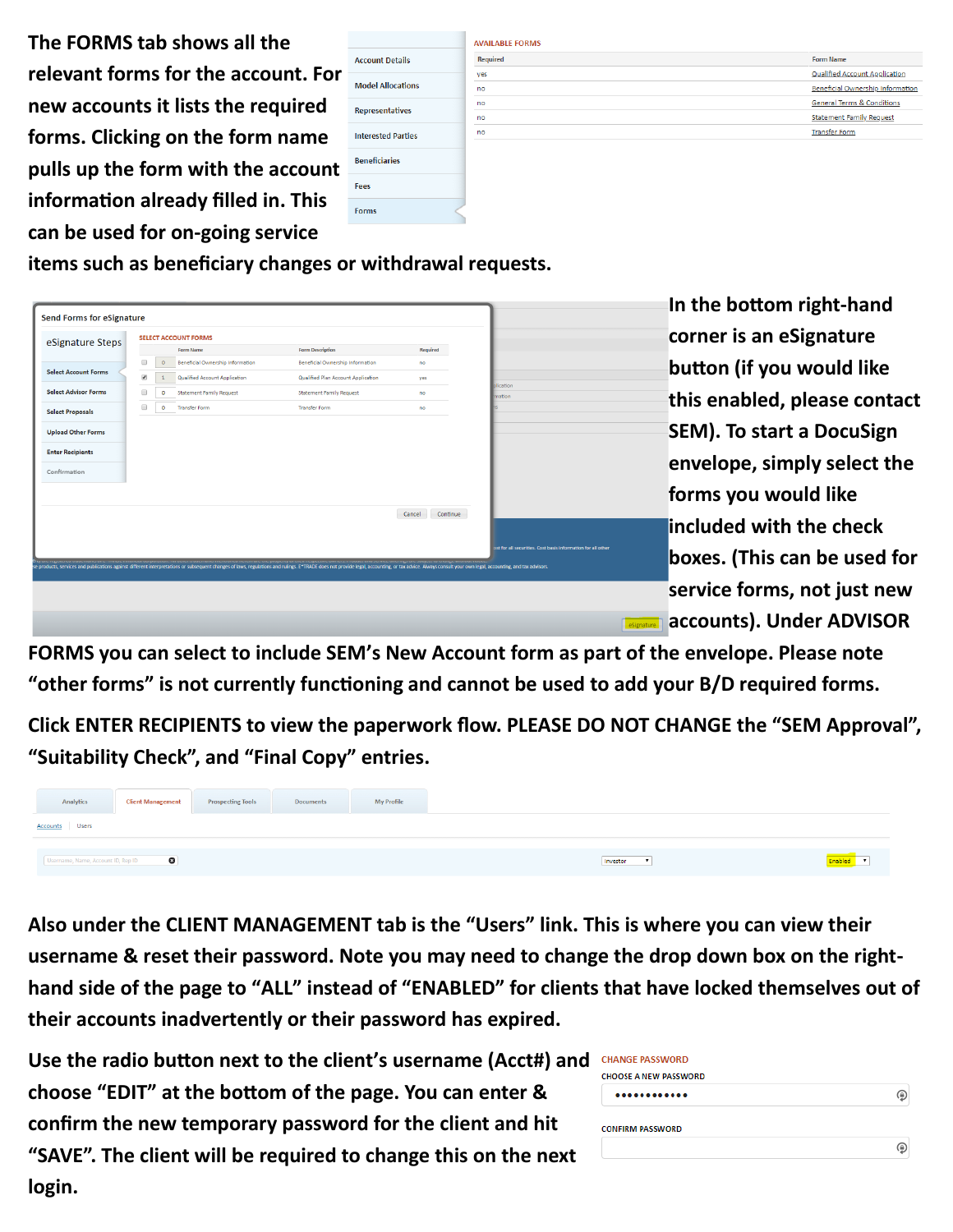**The FORMS tab shows all the relevant forms for the account. For new accounts it lists the required forms. Clicking on the form name pulls up the form with the account information already filled in. This can be used for on-going service** 

|                           | <b>AVAILABI</b> |
|---------------------------|-----------------|
| <b>Account Details</b>    | Required        |
| <b>Model Allocations</b>  | yes<br>no       |
| <b>Representatives</b>    | no<br>no        |
| <b>Interested Parties</b> | no              |
| <b>Beneficiaries</b>      |                 |
| <b>Fees</b>               |                 |
| <b>Enrms</b>              |                 |

|   | <b>AVAILABLE FURIVIS</b> |                                       |
|---|--------------------------|---------------------------------------|
|   | Required                 | <b>Form Name</b>                      |
|   | yes                      | <b>Qualified Account Application</b>  |
| ς | no                       | Beneficial Ownership Information      |
|   | no                       | <b>General Terms &amp; Conditions</b> |
|   | no                       | <b>Statement Family Request</b>       |
|   | no                       | <b>Transfer Form</b>                  |
|   |                          |                                       |
|   |                          |                                       |
|   |                          |                                       |

**items such as beneficiary changes or withdrawal requests.**

| <b>Send Forms for eSignature</b>                     |                                                                                             |                                                                                                                                 |                       |                                                              | In the bottom right-hand         |
|------------------------------------------------------|---------------------------------------------------------------------------------------------|---------------------------------------------------------------------------------------------------------------------------------|-----------------------|--------------------------------------------------------------|----------------------------------|
| eSignature Steps                                     | <b>SELECT ACCOUNT FORMS</b>                                                                 |                                                                                                                                 |                       |                                                              | corner is an eSignature          |
|                                                      | <b>Form Name</b><br>$\qquad \qquad \Box$<br>Beneficial Ownership Information                | <b>Form Description</b><br>Beneficial Ownership Information                                                                     | <b>Required</b><br>no |                                                              |                                  |
| <b>Select Account Forms</b>                          | $\overline{\mathcal{L}}$<br>Qualified Account Application                                   | Qualified Plan Account Application                                                                                              | ves                   |                                                              | button (if you would like        |
| <b>Select Advisor Forms</b>                          | 8<br><b>Statement Family Request</b><br>$\bullet$<br>8<br>$\bullet$<br><b>Transfer Form</b> | <b>Statement Family Request</b><br><b>Transfer Form</b>                                                                         | no<br>no              | plication<br>mation                                          | this enabled, please contact     |
| <b>Select Proposals</b><br><b>Upload Other Forms</b> |                                                                                             |                                                                                                                                 |                       |                                                              | <b>SEM). To start a DocuSign</b> |
| <b>Enter Recipients</b><br>Confirmation              |                                                                                             |                                                                                                                                 |                       |                                                              | envelope, simply select the      |
|                                                      |                                                                                             |                                                                                                                                 |                       |                                                              | forms you would like             |
|                                                      |                                                                                             |                                                                                                                                 | Continue<br>Cancel    |                                                              | included with the check          |
|                                                      |                                                                                             | equent changes of laws, regulations and rulings. E*TRADE does not provide legal, accounting, or tax advice. Always consult your |                       | ost for all securities. Cost basis information for all other | boxes. (This can be used for     |
|                                                      |                                                                                             |                                                                                                                                 |                       |                                                              | service forms, not just new      |
|                                                      |                                                                                             |                                                                                                                                 |                       |                                                              | accounts). Under ADVISOR         |

**FORMS you can select to include SEM's New Account form as part of the envelope. Please note "other forms" is not currently functioning and cannot be used to add your B/D required forms.**

**Click ENTER RECIPIENTS to view the paperwork flow. PLEASE DO NOT CHANGE the "SEM Approval", "Suitability Check", and "Final Copy" entries.** 

**Also under the CLIENT MANAGEMENT tab is the "Users" link. This is where you can view their username & reset their password. Note you may need to change the drop down box on the righthand side of the page to "ALL" instead of "ENABLED" for clients that have locked themselves out of their accounts inadvertently or their password has expired.**

**Use the radio button next to the client's username (Acct#) and choose "EDIT" at the bottom of the page. You can enter & confirm the new temporary password for the client and hit "SAVE". The client will be required to change this on the next login.**

| <b>CHANGE PASSWORD</b>       |  |
|------------------------------|--|
| <b>CHOOSE A NEW PASSWORD</b> |  |
|                              |  |
| <b>CONFIRM PASSWORD</b>      |  |
|                              |  |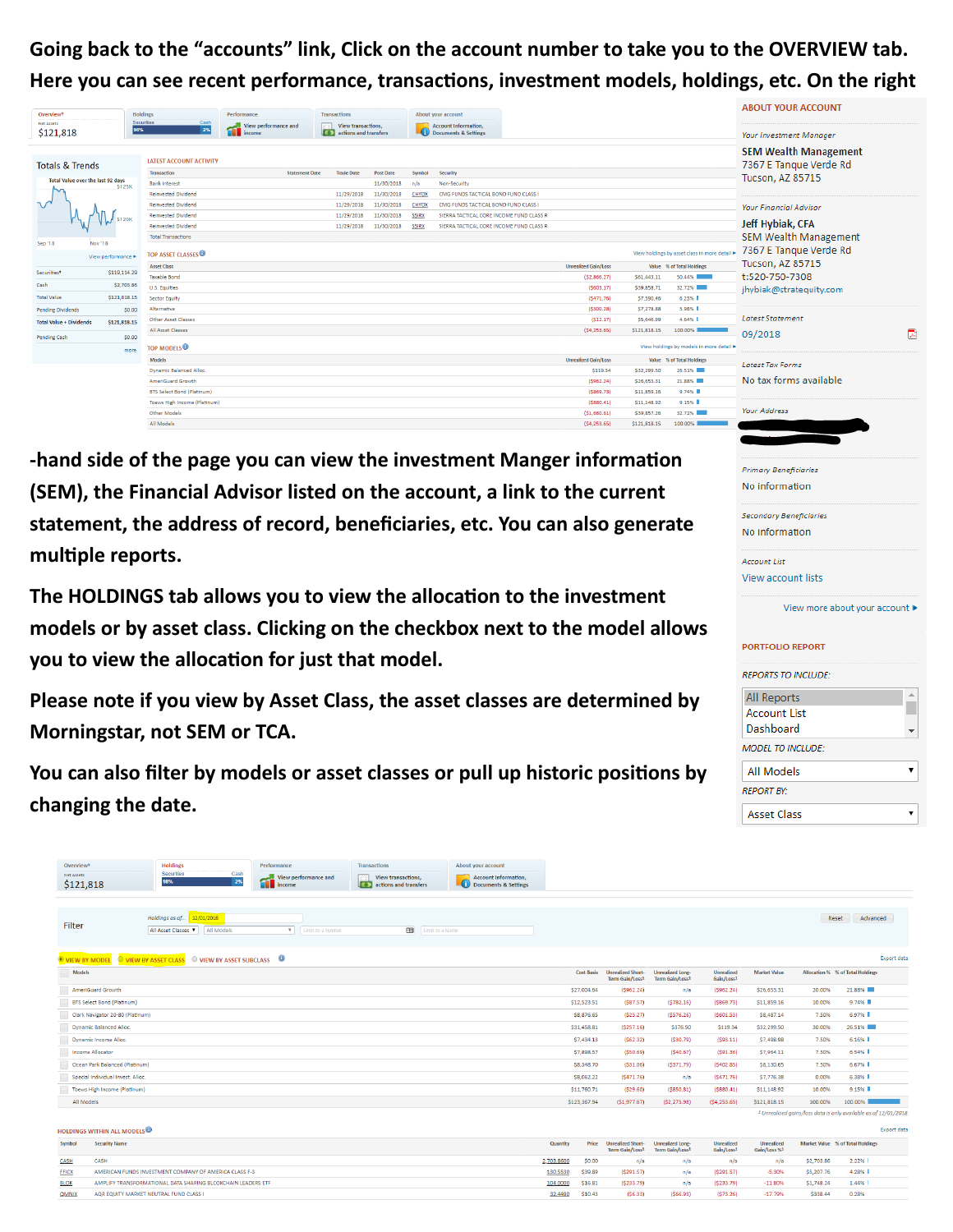**Going back to the "accounts" link, Click on the account number to take you to the OVERVIEW tab. Here you can see recent performance, transactions, investment models, holdings, etc. On the right**

| Overview <sup>+</sup>                                                      | <b>Holdings</b>                                                                  | Performance                    | <b>Transactions</b>                                         |                                        |                              | About your account                                                                           |                                            |                                          |                                             | <b>ABOUT YOUR ACCOUNT</b>                                                         |   |
|----------------------------------------------------------------------------|----------------------------------------------------------------------------------|--------------------------------|-------------------------------------------------------------|----------------------------------------|------------------------------|----------------------------------------------------------------------------------------------|--------------------------------------------|------------------------------------------|---------------------------------------------|-----------------------------------------------------------------------------------|---|
| Net Assets<br>\$121,818                                                    | Securities<br>Cash<br>98%<br>2%                                                  | View performance and<br>income | View transactions.<br>m<br><b>(6)</b> actions and transfers |                                        |                              | <b>Account Information.</b><br>Documents & Settings                                          |                                            |                                          |                                             | Your Investment Manager                                                           |   |
| <b>Totals &amp; Trends</b><br>Total Value over the last 92 days            | <b>LATEST ACCOUNT ACTIVITY</b><br>Transaction                                    | <b>Statement Date</b>          | <b>Trade Date</b>                                           | <b>Post Date</b>                       | Symbol                       | Security                                                                                     |                                            |                                          |                                             | <b>SEM Wealth Management</b><br>7367 E Tanque Verde Rd<br><b>Tucson, AZ 85715</b> |   |
| \$125K                                                                     | <b>Bank Interest</b><br><b>Reinvested Dividend</b><br><b>Reinvested Dividend</b> |                                | 11/29/2018<br>11/29/2018                                    | 11/30/2018<br>11/30/2018<br>11/30/2018 | n/a<br>CHYOX<br>CHYOX        | Non-Security<br>CMG FUNDS TACTICAL BOND FUND CLASS I<br>CMG FUNDS TACTICAL BOND FUND CLASS I |                                            |                                          |                                             | <b>Your Financial Advisor</b>                                                     |   |
| <b>M</b> \$120K                                                            | <b>Reinvested Dividend</b><br><b>Reinvested Dividend</b>                         |                                | 11/29/2018<br>11/29/2018                                    | 11/30/2018<br>11/30/2018               | <b>SSIRX</b><br><b>SSIRX</b> | SIERRA TACTICAL CORE INCOME FUND CLASS R<br>SIERRA TACTICAL CORE INCOME FUND CLASS R         |                                            |                                          |                                             | Jeff Hybiak, CFA                                                                  |   |
| Nov '18<br>Sep '18<br>View performance                                     | <b>Total Transactions</b><br><b>TOP ASSET CLASSES</b>                            |                                |                                                             |                                        |                              |                                                                                              |                                            |                                          | View holdings by asset class in more detail | SEM Wealth Management<br>7367 E Tanque Verde Rd<br><b>Tucson, AZ 85715</b>        |   |
| \$119,114.29<br>Securities*<br>\$2,703.86<br>Cash                          | <b>Asset Class</b><br><b>Taxable Bond</b>                                        |                                |                                                             |                                        |                              |                                                                                              | <b>Unrealized Gain/Loss</b><br>(52,866.27) | \$61,443.11                              | Value % of Total Holdings<br>50.44%         | t:520-750-7308                                                                    |   |
| \$121,818.15<br><b>Total Value</b>                                         | U.S. Equities<br><b>Sector Equity</b>                                            |                                |                                                             |                                        |                              |                                                                                              | (5603.17)<br>(S471.76)                     | \$39,858.71<br>\$7,590.46                | 32.72%<br>6.23%                             | jhybiak@stratequity.com                                                           |   |
| <b>Pending Dividends</b><br><b>Total Value + Dividends</b><br>\$121,818.15 | Alternative<br>\$0.00<br>Other Asset Classes<br>All Asset Classes                |                                |                                                             |                                        |                              |                                                                                              | (S300.28)<br>(S12.17)<br>(54, 253.65)      | \$7,278.88<br>\$5,646.99<br>\$121,818.15 | 5.98%<br>4.64%<br>100.00%                   | <b>Latest Statement</b>                                                           |   |
| \$0.00<br><b>Pending Cash</b><br>more                                      | View holdings by models in more detail ><br><b>TOP MODELS<sup>O</sup></b>        |                                |                                                             |                                        |                              |                                                                                              |                                            |                                          |                                             | 09/2018                                                                           | 륁 |
|                                                                            | <b>Models</b><br><b>Dynamic Balanced Alloc.</b>                                  |                                |                                                             |                                        |                              |                                                                                              | <b>Unrealized Gain/Loss</b><br>S119.34     | \$32,299.50                              | <b>Value</b> % of Total Holdings<br>26.51%  | <b>Latest Tax Forms</b>                                                           |   |
|                                                                            | <b>AmeriGuard Growth</b><br><b>BTS Select Bond (Platinum)</b>                    |                                |                                                             |                                        |                              |                                                                                              | $($ \$962.24 $)$<br>$($ \$869.73)          | \$26,653.31<br>\$11,859.16               | 21.88%<br>9.74%                             | No tax forms available                                                            |   |
|                                                                            | Toews High Income (Platinum)<br>Other Models                                     |                                |                                                             |                                        |                              |                                                                                              | $($ S880.41 $)$<br>(S1,660.61)             | \$11,148.92<br>\$39,857.26               | 9.15%<br>32.72%                             | <b>Your Address</b>                                                               |   |
|                                                                            | All Models                                                                       |                                |                                                             |                                        |                              |                                                                                              | (54, 253.65)                               | \$121,818.15                             | 100.00%                                     |                                                                                   |   |

**Primary Beneficiaries** No information

**Secondary Beneficiaries** No information

**PORTFOLIO REPORT REPORTS TO INCLUDE:** All Reports **Account List** Dashboard

MODEL TO INCLUDE:

All Models **REPORT BY: Asset Class** 

View more about your account  $\blacktriangleright$ 

 $\overline{\phantom{a}}$ 

۷.

۷.

**Account List** View account lists

**-hand side of the page you can view the investment Manger information (SEM), the Financial Advisor listed on the account, a link to the current statement, the address of record, beneficiaries, etc. You can also generate multiple reports.**

**The HOLDINGS tab allows you to view the allocation to the investment models or by asset class. Clicking on the checkbox next to the model allows you to view the allocation for just that model.**

**Please note if you view by Asset Class, the asset classes are determined by Morningstar, not SEM or TCA.**

**You can also filter by models or asset classes or pull up historic positions by changing the date.**

| Overview <sup>#</sup><br>Net Assets<br>\$121,818 |                                               | <b>Holdings</b><br><b>Securities</b><br>Cash<br>2%<br>98%        | Performance<br>View performance and<br><b>The income</b> | <b>Transactions</b><br>View transactions.<br><b>(O)</b> actions and transfers | About your account<br><b>Account Information.</b><br>Documents & Settings |            |                   |                                                               |                                                        |                                      |                                   |            |                                                                             |             |
|--------------------------------------------------|-----------------------------------------------|------------------------------------------------------------------|----------------------------------------------------------|-------------------------------------------------------------------------------|---------------------------------------------------------------------------|------------|-------------------|---------------------------------------------------------------|--------------------------------------------------------|--------------------------------------|-----------------------------------|------------|-----------------------------------------------------------------------------|-------------|
| Filter                                           |                                               | Holdings as of 12/01/2018<br>All Models<br>All Asset Classes     | $\boldsymbol{\mathrm{v}}$<br>Limit to a Symbol           | 国                                                                             | <b>Jmit to a Name</b>                                                     |            |                   |                                                               |                                                        |                                      |                                   | Reset      | Advanced                                                                    |             |
|                                                  |                                               | O VIEW BY MODEL O VIEW BY ASSET CLASS O VIEW BY ASSET SUBCLASS O |                                                          |                                                                               |                                                                           |            |                   |                                                               |                                                        |                                      |                                   |            |                                                                             | Export data |
| Models                                           |                                               |                                                                  |                                                          |                                                                               |                                                                           |            | <b>Cost Basis</b> | <b>Unrealized Short-</b><br>Term Gain/Loss1                   | <b>Unrealized Long-</b><br>Term Gain/Loss1             | <b>Unrealized</b><br>Gain/Loss1      | <b>Market Value</b>               |            | Allocation % % of Total Holdings                                            |             |
|                                                  | AmeriGuard Growth                             |                                                                  |                                                          |                                                                               |                                                                           |            | \$27,004.64       | (S962.24)                                                     | n/a                                                    | $($ \$962.24 $)$                     | \$26,653.31                       | 20.00%     | 21.88%                                                                      |             |
|                                                  | <b>BTS Select Bond (Platinum)</b>             |                                                                  |                                                          |                                                                               |                                                                           |            | \$12,523.51       | (S87.57)                                                      | (S782.16)                                              | ( \$869.73)                          | \$11,859.16                       | 10.00%     | 9.74%                                                                       |             |
|                                                  | Clark Navigator 20-80 (Platinum)              |                                                                  |                                                          |                                                                               |                                                                           |            | \$8,876.65        | (S25.27)                                                      | (S576.26)                                              | (S601.53)                            | \$8,487.14                        | 7.50%      | 6.97%                                                                       |             |
|                                                  | <b>Dynamic Balanced Alloc.</b>                |                                                                  |                                                          |                                                                               |                                                                           |            | \$31,458.81       | (S257.16)                                                     | \$376.50                                               | \$119.34                             | \$32,299.50                       | 30.00%     | 26.51%                                                                      |             |
|                                                  | Dynamic Income Alloc.                         |                                                                  |                                                          |                                                                               |                                                                           |            | \$7,434.13        | (S62.32)                                                      | (S30.79)                                               | (S93.11)                             | \$7,498.98                        | 7.50%      | 6.16%                                                                       |             |
|                                                  | <b>Income Allocator</b>                       |                                                                  |                                                          |                                                                               |                                                                           |            | \$7,898.57        | (550.69)                                                      | $($ \$40.67)                                           | (S91.36)                             | \$7,964.11                        | 7.50%      | 6.54%                                                                       |             |
|                                                  | Ocean Park Balanced (Platinum)                |                                                                  |                                                          |                                                                               |                                                                           |            | S8.348.70         | (S31.06)                                                      | $($ \$371.79 $)$                                       | (S402.85)                            | S8.130.65                         | 7.50%      | 6.67%                                                                       |             |
|                                                  | Special Individual Invest. Alloc.             |                                                                  |                                                          |                                                                               |                                                                           |            | S8.062.22         | (S471.76)                                                     | n/a                                                    | (S471.76)                            | \$7,776.38                        | 0.00%      | 6.38%                                                                       |             |
|                                                  | <b>Toews High Income (Platinum)</b>           |                                                                  |                                                          |                                                                               |                                                                           |            | \$11,760.71       | (S29.60)                                                      | (S850.81)                                              | $($ \$880.41)                        | \$11,148.92                       | 10.00%     | 9.15%                                                                       |             |
| All Models                                       |                                               |                                                                  |                                                          |                                                                               |                                                                           |            | \$123,367.94      | (S1, 977.67)                                                  | (S2, 275.98)                                           | (S4, 253.65)                         | \$121,818.15                      | 100.00%    | 100,00%                                                                     |             |
|                                                  |                                               |                                                                  |                                                          |                                                                               |                                                                           |            |                   |                                                               |                                                        |                                      |                                   |            | <sup>1</sup> Unrealized gains/loss data is only available as of 12/01/2018. |             |
|                                                  | <b>HOLDINGS WITHIN ALL MODELS<sup>O</sup></b> |                                                                  |                                                          |                                                                               |                                                                           |            |                   |                                                               |                                                        |                                      |                                   |            |                                                                             | Export data |
| Symbol                                           | <b>Security Name</b>                          |                                                                  |                                                          |                                                                               |                                                                           | Quantity   |                   | <b>Price Unrealized Short-</b><br>Term Gain/Loss <sup>1</sup> | <b>Unrealized Long-</b><br>Term Gain/Loss <sup>1</sup> | Unrealized<br>Gain/Loss <sup>1</sup> | <b>Unrealized</b><br>Gain/Loss %1 |            | Market Value % of Total Holdings                                            |             |
| CASH                                             | CASH                                          |                                                                  |                                                          |                                                                               |                                                                           | 2.703.8600 | \$0.00            | n/a                                                           | n/a                                                    | n/a                                  | n/a                               | \$2,703.86 | 2.22%                                                                       |             |
| <b>FFICX</b>                                     |                                               | AMERICAN FUNDS INVESTMENT COMPANY OF AMERICA CLASS F-3           |                                                          |                                                                               |                                                                           | 130,5530   | \$39.89           | (S291.57)                                                     | n/a                                                    | (S291.57)                            | $-5.30%$                          | S5,207.76  | 4.28%                                                                       |             |
| <b>BLOK</b>                                      |                                               | AMPLIFY TRANSFORMATIONAL DATA SHARING BLCOKCHAIN LEADERS ETF     |                                                          |                                                                               |                                                                           | 104.0000   | \$16.81           | (S233.79)                                                     | n/a                                                    | (S233.79)                            | $-11.80%$                         | \$1,748.24 | 1.44%                                                                       |             |
| <b>OMNIX</b>                                     |                                               | AOR EQUITY MARKET NEUTRAL FUND CLASS I                           |                                                          |                                                                               |                                                                           | 32.4490    | \$10.43           | (S6.33)                                                       | (566.93)                                               | (S73.26)                             | $-17.79%$                         | S338.44    | 0.28%                                                                       |             |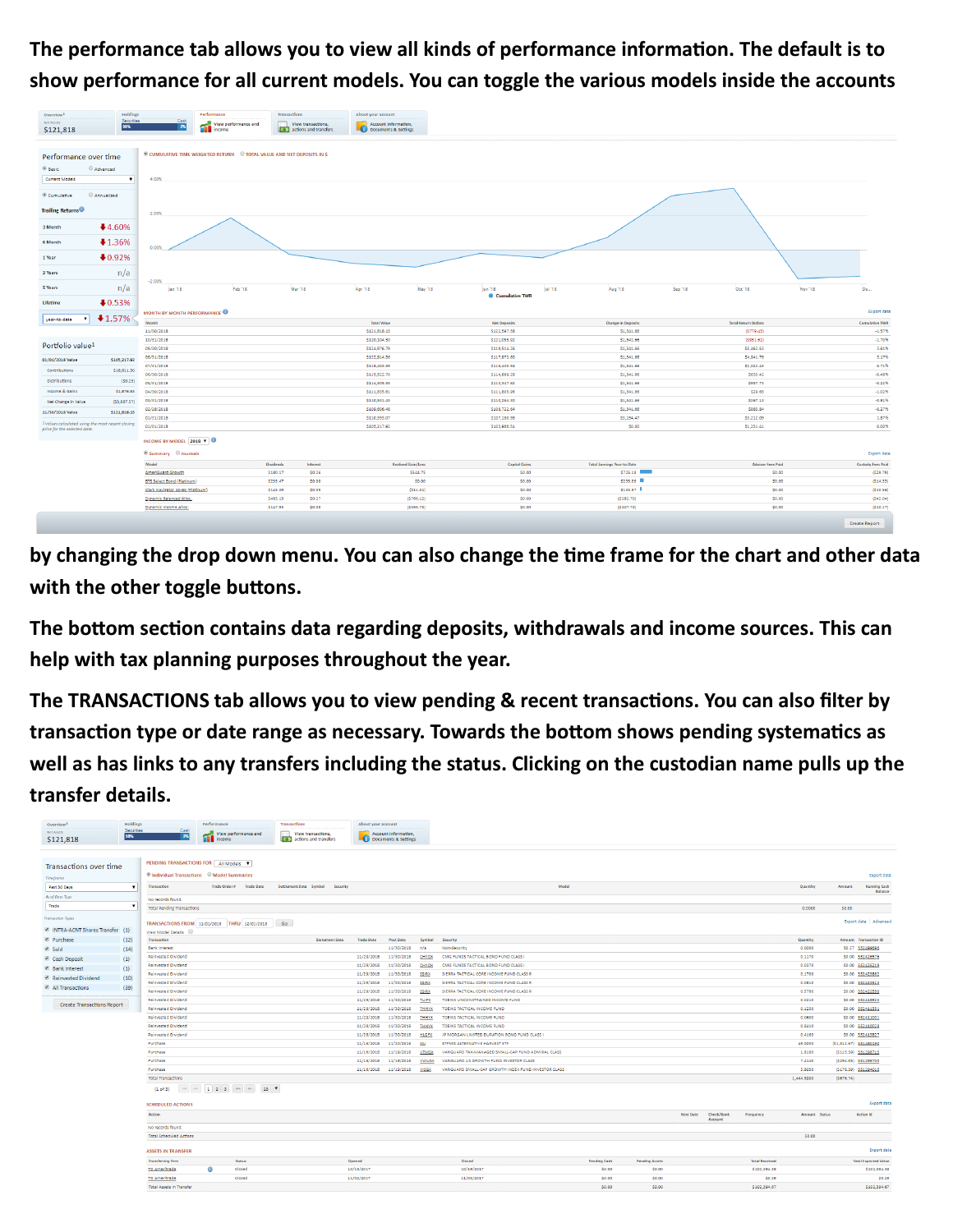**The performance tab allows you to view all kinds of performance information. The default is to show performance for all current models. You can toggle the various models inside the accounts** 

| Overview <sup>#</sup>                                                                        | Holdings                 |                                                  | Performance                                                            | Transactions                                          | About your account                           |                              |                                    |                               |                                         |
|----------------------------------------------------------------------------------------------|--------------------------|--------------------------------------------------|------------------------------------------------------------------------|-------------------------------------------------------|----------------------------------------------|------------------------------|------------------------------------|-------------------------------|-----------------------------------------|
| Net Assets<br>\$121,818                                                                      | <b>Securities</b><br>98% | Cash<br>2%                                       | View performance and<br>π<br>income                                    | View transactions,<br><b>CO</b> actions and transfers | Account Information,<br>Documents & Settings |                              |                                    |                               |                                         |
|                                                                                              |                          |                                                  |                                                                        |                                                       |                                              |                              |                                    |                               |                                         |
| Performance over time                                                                        |                          |                                                  | © CUMULATIVE TIME WEIGHTED RETURN © TOTAL VALUE AND NET DEPOSITS IN \$ |                                                       |                                              |                              |                                    |                               |                                         |
| ® Basic<br>Advanced                                                                          |                          |                                                  |                                                                        |                                                       |                                              |                              |                                    |                               |                                         |
| <b>Current Models</b>                                                                        | $\bullet$                | 4.00%                                            |                                                                        |                                                       |                                              |                              |                                    |                               |                                         |
|                                                                                              |                          |                                                  |                                                                        |                                                       |                                              |                              |                                    |                               |                                         |
| Annualized<br>© Cumulative                                                                   |                          |                                                  |                                                                        |                                                       |                                              |                              |                                    |                               |                                         |
| <b>Trailing Returns</b>                                                                      |                          | 2.00%                                            |                                                                        |                                                       |                                              |                              |                                    |                               |                                         |
|                                                                                              |                          |                                                  |                                                                        |                                                       |                                              |                              |                                    |                               |                                         |
| 3 Month                                                                                      | 4.60%                    |                                                  |                                                                        |                                                       |                                              |                              |                                    |                               |                                         |
| 6 Month                                                                                      | $+1.36%$                 |                                                  |                                                                        |                                                       |                                              |                              |                                    |                               |                                         |
|                                                                                              |                          | 0.00%                                            |                                                                        |                                                       |                                              |                              |                                    |                               |                                         |
| 1 Year                                                                                       | $\clubsuit$ 0.92%        |                                                  |                                                                        |                                                       |                                              |                              |                                    |                               |                                         |
|                                                                                              |                          |                                                  |                                                                        |                                                       |                                              |                              |                                    |                               |                                         |
| 3 Years                                                                                      | n/a                      | $-2.00%$                                         |                                                                        |                                                       |                                              |                              |                                    |                               |                                         |
| 5 Years                                                                                      | n/a                      | Jan '18                                          | Feb <sup>18</sup>                                                      | Mar '18                                               | Apr '18                                      | May '18<br>Jun '18           | Jul 18<br>Aug '18                  | Sep <sup>1</sup> 8<br>Oct '18 | Nov 18<br>De.                           |
|                                                                                              |                          |                                                  |                                                                        |                                                       |                                              | Cumulative TWR               |                                    |                               |                                         |
| Lifetime                                                                                     | $*0.53%$                 |                                                  |                                                                        |                                                       |                                              |                              |                                    |                               | Export data                             |
| $\mathbf{v}$<br>year-to-date                                                                 | $*1.57%$                 | MONTH BY MONTH PERFORMANCE                       |                                                                        |                                                       |                                              |                              |                                    |                               |                                         |
|                                                                                              |                          | <b>Month</b>                                     |                                                                        |                                                       | <b>Total Value</b>                           | <b>Net Deposits</b>          | <b>Change in Deposits</b>          | <b>Total Return Dollars</b>   | <b>Cumulative TWR</b>                   |
|                                                                                              |                          | 11/30/2018<br>10/31/2018                         |                                                                        |                                                       | \$121,818.15<br>\$120,104.30                 | \$122,597.58<br>\$121,055.92 | \$1,541.66<br>\$1,541.66           | (5779.43)<br>(5951.62)        |                                         |
| Portfolio value1                                                                             |                          | 09/30/2018                                       |                                                                        |                                                       | \$124,976.79                                 | \$119,514.26                 | \$1,541.66                         | \$5,462.53                    |                                         |
|                                                                                              |                          | 08/31/2018                                       |                                                                        |                                                       | \$122,914.36                                 | \$117,972.60                 | \$1,541.66                         | \$4,941.76                    |                                         |
| 01/01/2018 Value                                                                             | \$105,217.92             | 07/31/2018                                       |                                                                        |                                                       | \$118,453.39                                 | \$116,430.94                 | \$1,541.66                         | \$2,022.45                    |                                         |
| Contributions                                                                                | \$18,611.30              | 06/30/2018                                       |                                                                        |                                                       | \$115,522.70                                 | 5114,889.28                  | \$1,541.66                         | \$633.42                      |                                         |
| Distributions                                                                                | (50.23)                  | 05/31/2018                                       |                                                                        |                                                       | \$114,305.35                                 | 5113,347.62                  | \$1,541.66                         | 5957.73                       |                                         |
| Income & Gains                                                                               | \$1,876.53               | 04/30/2018                                       |                                                                        |                                                       | \$111,835.61                                 | \$111,805.96                 | \$1,541.66                         | \$29.65                       |                                         |
| Net Change in Value                                                                          | (53,887.37)              | 03/31/2018                                       |                                                                        |                                                       | \$110,531.43                                 | \$110,264.30                 | \$1,541.66                         | \$267.13                      |                                         |
| 11/30/2018 Value                                                                             |                          |                                                  |                                                                        |                                                       | \$109,606.48                                 | \$108,722.64                 | \$1,541.66                         | \$883.84                      |                                         |
|                                                                                              | \$121,818.15             | 02/28/2018                                       |                                                                        |                                                       |                                              |                              |                                    |                               |                                         |
|                                                                                              |                          | 01/31/2018                                       |                                                                        |                                                       | \$110,393.07                                 | \$107,180.98                 | \$3,194.47                         | \$3,212.09                    |                                         |
|                                                                                              |                          | 01/01/2018                                       |                                                                        |                                                       | \$105,217.92                                 | \$103,986.51                 | \$0.00                             | 51,231.41                     |                                         |
|                                                                                              |                          | INCOME BY MODEL 2018 V                           |                                                                        |                                                       |                                              |                              |                                    |                               |                                         |
|                                                                                              |                          | Summary Dournals                                 |                                                                        |                                                       |                                              |                              |                                    |                               |                                         |
|                                                                                              |                          | Model                                            |                                                                        | Dividends<br>Interest                                 | <b>Realized Gain/Loss</b>                    | <b>Capital Gains</b>         | <b>Total Earnings Year-to-Date</b> | <b>Advisor Fees Paid</b>      | Export data<br><b>Custody Fees Paid</b> |
|                                                                                              |                          | <b>AmeriGuard Growth</b>                         |                                                                        | 5180.17<br>50.26                                      | \$544.75                                     | \$0.00                       | 5725.18                            | \$0.00                        |                                         |
|                                                                                              |                          | BTS Select Bond (Platinum)                       |                                                                        | \$235.47<br>50.09                                     |                                              | \$0.00<br>\$0.00             | 5235.56 MM                         | \$0.00                        |                                         |
|                                                                                              |                          | Clark Navigator 20-80 (Platinum)                 |                                                                        | \$145.39<br>\$0.09                                    | (511.51)                                     | \$0.00                       | \$133.97                           | \$0.00                        |                                         |
| <sup>1</sup> Values calculated using the most recent closing<br>price for the selected date. |                          | Dynamic Balanced Alloc.<br>Dynamic Income Alloc. |                                                                        | \$0.27<br>\$483.15<br>\$147.93<br>\$0.08              | (5766.12)<br>(5355.73)                       | \$0.00<br>\$0.00             | (5282.70)<br>(5207.72)             | \$0.00<br>\$0.00              |                                         |

**by changing the drop down menu. You can also change the time frame for the chart and other data with the other toggle buttons.**

**The bottom section contains data regarding deposits, withdrawals and income sources. This can help with tax planning purposes throughout the year.**

**The TRANSACTIONS tab allows you to view pending & recent transactions. You can also filter by transaction type or date range as necessary. Towards the bottom shows pending systematics as well as has links to any transfers including the status. Clicking on the custodian name pulls up the transfer details.**

| Overview <sup>1</sup>             | Holdings          |                                                 | Performance       |                                                                                                                                                                                                         | <b>Transactions</b>                             | About your account |                                              |              |                                                     |       |                     |                       |                  |                       |                       |               |           |                             |
|-----------------------------------|-------------------|-------------------------------------------------|-------------------|---------------------------------------------------------------------------------------------------------------------------------------------------------------------------------------------------------|-------------------------------------------------|--------------------|----------------------------------------------|--------------|-----------------------------------------------------|-------|---------------------|-----------------------|------------------|-----------------------|-----------------------|---------------|-----------|-----------------------------|
| Net Assets<br>\$121,818           | Securities<br>98% | Cash<br>2%                                      | <b>THE income</b> | View performance and                                                                                                                                                                                    | View transactions,<br>(8) actions and transfers |                    | Account Information,<br>Documents & Settings |              |                                                     |       |                     |                       |                  |                       |                       |               |           |                             |
|                                   |                   |                                                 |                   |                                                                                                                                                                                                         |                                                 |                    |                                              |              |                                                     |       |                     |                       |                  |                       |                       |               |           |                             |
| Transactions over time            |                   | PENDING TRANSACTIONS FOR All Models V           |                   |                                                                                                                                                                                                         |                                                 |                    |                                              |              |                                                     |       |                     |                       |                  |                       |                       |               |           |                             |
|                                   |                   | C Individual Transactions C Model Summaries     |                   |                                                                                                                                                                                                         |                                                 |                    |                                              |              |                                                     |       |                     |                       |                  |                       |                       |               |           | <b>Export data</b>          |
| Timeframe<br>Past 30 Days         | $\bullet$         | Transaction                                     |                   | Trade Order # Trade Date                                                                                                                                                                                | Settlement Date Symbol Security                 |                    |                                              |              |                                                     | Model |                     |                       |                  |                       |                       | Quantity      | Amount    | <b>Running Cash</b>         |
| As of Date Type                   |                   |                                                 |                   |                                                                                                                                                                                                         |                                                 |                    |                                              |              |                                                     |       |                     |                       |                  |                       |                       |               |           | Balance                     |
| Trade                             | $\mathbf r$       | No records found.                               |                   |                                                                                                                                                                                                         |                                                 |                    |                                              |              |                                                     |       |                     |                       |                  |                       |                       |               |           |                             |
|                                   |                   | <b>Total Pending Transactions</b>               |                   |                                                                                                                                                                                                         |                                                 |                    |                                              |              |                                                     |       |                     |                       |                  |                       |                       | 0.0000        | \$0.00    |                             |
| <b>Transaction Types</b>          |                   | TRANSACTIONS FROM 11/01/2018 THRU 12/01/2018 Go |                   |                                                                                                                                                                                                         |                                                 |                    |                                              |              |                                                     |       |                     |                       |                  |                       |                       |               |           | Export data Advanced        |
| IM INTRA-ACNT Shares Transfer (1) |                   | View Model Details                              |                   |                                                                                                                                                                                                         |                                                 |                    |                                              |              |                                                     |       |                     |                       |                  |                       |                       |               |           |                             |
| Purchase                          | (12)              | Transaction                                     |                   |                                                                                                                                                                                                         | <b>Statement Date</b>                           | <b>Trade Date</b>  | Post Date                                    | Symbol       | Security                                            |       |                     |                       |                  |                       |                       | Quantity      |           | Amount Transaction ID       |
| Sold                              | (14)              | Bank Interest                                   |                   |                                                                                                                                                                                                         |                                                 |                    | 11/30/2018                                   | n/a          | Non-Security                                        |       |                     |                       |                  |                       |                       | 0.0000        |           | \$0.27 552499696            |
| Cash Deposit                      | (1)               | Reinvested Dividend                             |                   |                                                                                                                                                                                                         |                                                 | 11/29/2018         | 11/30/2018                                   | CHYOX        | CMG FUNDS TACTICAL BOND FUND CLASS I                |       |                     |                       |                  |                       |                       | 0.1170        |           |                             |
| Bank Interest                     | (1)               | Reinvested Dividend                             |                   |                                                                                                                                                                                                         |                                                 | 11/29/2018         | 11/30/2018                                   | CHYOX        | CMG FUNDS TACTICAL BOND FUND CLASS I                |       |                     |                       |                  |                       |                       | 0.0370        |           | 50.00 552426219             |
| Reinvested Dividend               | (10)              | Reinvested Dividend                             |                   |                                                                                                                                                                                                         |                                                 | 11/29/2018         | 11/30/2018                                   | <b>SSIRX</b> | SIERRA TACTICAL CORE INCOME FUND CLASS R            |       |                     |                       |                  |                       |                       | 0.1700        |           | 50.00 552423862             |
| All Transactions                  | (39)              | Reinvested Dividend                             |                   |                                                                                                                                                                                                         |                                                 | 11/29/2018         | 11/30/2018                                   | <b>SSIRX</b> | SIERRA TACTICAL CORE INCOME FUND CLASS R            |       |                     |                       |                  |                       |                       | 0.0810        |           | 50.00 552423513             |
|                                   |                   | Reinvested Dividend                             |                   |                                                                                                                                                                                                         |                                                 | 11/29/2018         | 11/30/2018                                   | SSIRX        | SIERRA TACTICAL CORE INCOME FUND CLASS R            |       |                     |                       |                  |                       |                       | 0.5780        |           | \$0.00 552422550            |
| <b>Create Transactions Report</b> |                   | Reinvested Dividend                             |                   |                                                                                                                                                                                                         |                                                 | 11/29/2018         | 11/30/2018                                   | TUIFX        | TOEWS UNCONSTRAINED INCOME FUND                     |       |                     |                       |                  |                       |                       | 0.0210        |           | 50.00 552418923             |
|                                   |                   | Reinvested Dividend                             |                   |                                                                                                                                                                                                         |                                                 | 11/29/2018         | 11/30/2018                                   | THHYX        | TOEWS TACTICAL INCOME FUND                          |       |                     |                       |                  |                       |                       | 0.1250        |           | \$0.00 552411351            |
|                                   |                   | Reinvested Dividend                             |                   |                                                                                                                                                                                                         |                                                 | 11/29/2018         | 11/30/2018                                   | THHYX        | TOEWS TACTICAL INCOME FUND                          |       |                     |                       |                  |                       |                       | 0.0600        |           | \$0.00 552411001            |
|                                   |                   | Reinvested Dividend                             |                   |                                                                                                                                                                                                         |                                                 | 11/29/2018         | 11/30/2018                                   | THHYX        | TOEWS TACTICAL INCOME FUND                          |       |                     |                       |                  |                       |                       | 0.8410        |           | \$0.00 552410028            |
|                                   |                   | Reinvested Dividend                             |                   |                                                                                                                                                                                                         |                                                 | 11/28/2018         | 11/30/2018                                   | <b>HLGFX</b> | JP MORGAN LIMITED DURATION BOND FUND CLASS I        |       |                     |                       |                  |                       |                       | 0.4160        |           | 50.00 552413827             |
|                                   |                   | Purchase                                        |                   |                                                                                                                                                                                                         |                                                 | 11/16/2018         | 11/20/2018                                   | M            | ETFING ALTERNATIVE HARVEST ETF                      |       |                     |                       |                  |                       |                       | 49.0000       |           | $(51,512.67)$ 551480190     |
|                                   |                   | Purchase                                        |                   |                                                                                                                                                                                                         |                                                 | 11/16/2018         | 11/19/2018                                   | <b>VTMSX</b> | VANGUARD TAX-MANAGED SMALL-CAP FUND ADMIRAL CLASS   |       |                     |                       |                  |                       |                       | 1,8180        |           | (5115.39) 551298715         |
|                                   |                   | Purchase                                        |                   |                                                                                                                                                                                                         |                                                 | 11/16/2018         | 11/19/2018                                   | <b>VWUSX</b> | VANGUARD US GROWTH FUND INVESTOR CLASS              |       |                     |                       |                  |                       |                       | 7,4140        |           | (\$294.05) 551298700        |
|                                   |                   | Purchase                                        |                   |                                                                                                                                                                                                         |                                                 | 11/16/2018         | 11/19/2018                                   | VISGX        | VANGUARD SMALL-CAP GROWTH INDEX FUND INVESTOR CLASS |       |                     |                       |                  |                       |                       | 3.8050        |           | $(5178.39)$ 551294015       |
|                                   |                   | <b>Total Transactions</b>                       |                   |                                                                                                                                                                                                         |                                                 |                    |                                              |              |                                                     |       |                     |                       |                  |                       |                       | 1,444.5990    | (5676.74) |                             |
|                                   |                   | (1 of 3)                                        |                   | $\left\vert \begin{array}{ccccc} \cdots & \cdots & 1 & 2 & 3 \end{array} \right\vert \quad \Rightarrow \quad \left\vert \begin{array}{ccccc} \cdots & \cdots & \cdots & \cdots \end{array} \right\vert$ |                                                 |                    |                                              |              |                                                     |       |                     |                       |                  |                       |                       |               |           |                             |
|                                   |                   |                                                 |                   |                                                                                                                                                                                                         |                                                 |                    |                                              |              |                                                     |       |                     |                       |                  |                       |                       |               |           |                             |
|                                   |                   | <b>SCHEDULED ACTIONS</b>                        |                   |                                                                                                                                                                                                         |                                                 |                    |                                              |              |                                                     |       |                     |                       |                  |                       |                       |               |           | Export data                 |
|                                   |                   | Action                                          |                   |                                                                                                                                                                                                         |                                                 |                    |                                              |              |                                                     |       |                     |                       | <b>Next Date</b> | Check/Bank<br>Account | Frequency             | Amount Status |           | <b>Action Id</b>            |
|                                   |                   | No records found.                               |                   |                                                                                                                                                                                                         |                                                 |                    |                                              |              |                                                     |       |                     |                       |                  |                       |                       |               |           |                             |
|                                   |                   | <b>Total Scheduled Actions</b>                  |                   |                                                                                                                                                                                                         |                                                 |                    |                                              |              |                                                     |       |                     |                       |                  |                       |                       | 50.00         |           |                             |
|                                   |                   | <b>ASSETS IN TRANSFER</b>                       |                   |                                                                                                                                                                                                         |                                                 |                    |                                              |              |                                                     |       |                     |                       |                  |                       |                       |               |           | <b>Export data</b>          |
|                                   |                   | <b>Transferring Firm</b>                        |                   | Status                                                                                                                                                                                                  |                                                 | Opened             |                                              |              | Closed                                              |       | <b>Pending Cash</b> | <b>Pending Assets</b> |                  |                       | <b>Total Received</b> |               |           | <b>Total Expected Value</b> |
|                                   |                   | <b>TD Ameritrade</b>                            | $\bullet$         | Closed                                                                                                                                                                                                  |                                                 | 10/13/2017         |                                              |              | 10/19/2017                                          |       | \$0.00              | \$0.00                |                  |                       | \$102,394.38          |               |           | \$102,394.38                |
|                                   |                   | <b>TD Ameritrade</b>                            |                   | Closed                                                                                                                                                                                                  |                                                 | 11/02/2017         |                                              |              | 11/03/2017                                          |       | \$0.00              | \$0.00                |                  |                       | \$0.29                |               |           | 50.29                       |
|                                   |                   | Total Assets in Transfer                        |                   |                                                                                                                                                                                                         |                                                 |                    |                                              |              |                                                     |       | \$0.00              | \$0.00                |                  |                       | \$102.394.67          |               |           | \$102,394.67                |
|                                   |                   |                                                 |                   |                                                                                                                                                                                                         |                                                 |                    |                                              |              |                                                     |       |                     |                       |                  |                       |                       |               |           |                             |